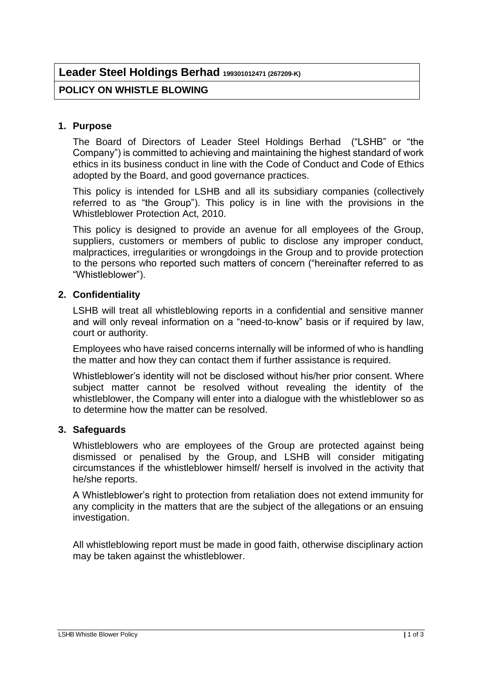# **Leader Steel Holdings Berhad 199301012471 (267209-K)**

# **POLICY ON WHISTLE BLOWING**

## **1. Purpose**

The Board of Directors of Leader Steel Holdings Berhad ("LSHB" or "the Company") is committed to achieving and maintaining the highest standard of work ethics in its business conduct in line with the Code of Conduct and Code of Ethics adopted by the Board, and good governance practices.

This policy is intended for LSHB and all its subsidiary companies (collectively referred to as "the Group"). This policy is in line with the provisions in the Whistleblower Protection Act, 2010.

This policy is designed to provide an avenue for all employees of the Group, suppliers, customers or members of public to disclose any improper conduct, malpractices, irregularities or wrongdoings in the Group and to provide protection to the persons who reported such matters of concern ("hereinafter referred to as "Whistleblower").

#### **2. Confidentiality**

LSHB will treat all whistleblowing reports in a confidential and sensitive manner and will only reveal information on a "need-to-know" basis or if required by law, court or authority.

Employees who have raised concerns internally will be informed of who is handling the matter and how they can contact them if further assistance is required.

Whistleblower's identity will not be disclosed without his/her prior consent. Where subject matter cannot be resolved without revealing the identity of the whistleblower, the Company will enter into a dialogue with the whistleblower so as to determine how the matter can be resolved.

## **3. Safeguards**

Whistleblowers who are employees of the Group are protected against being dismissed or penalised by the Group, and LSHB will consider mitigating circumstances if the whistleblower himself/ herself is involved in the activity that he/she reports.

A Whistleblower's right to protection from retaliation does not extend immunity for any complicity in the matters that are the subject of the allegations or an ensuing investigation.

All whistleblowing report must be made in good faith, otherwise disciplinary action may be taken against the whistleblower.